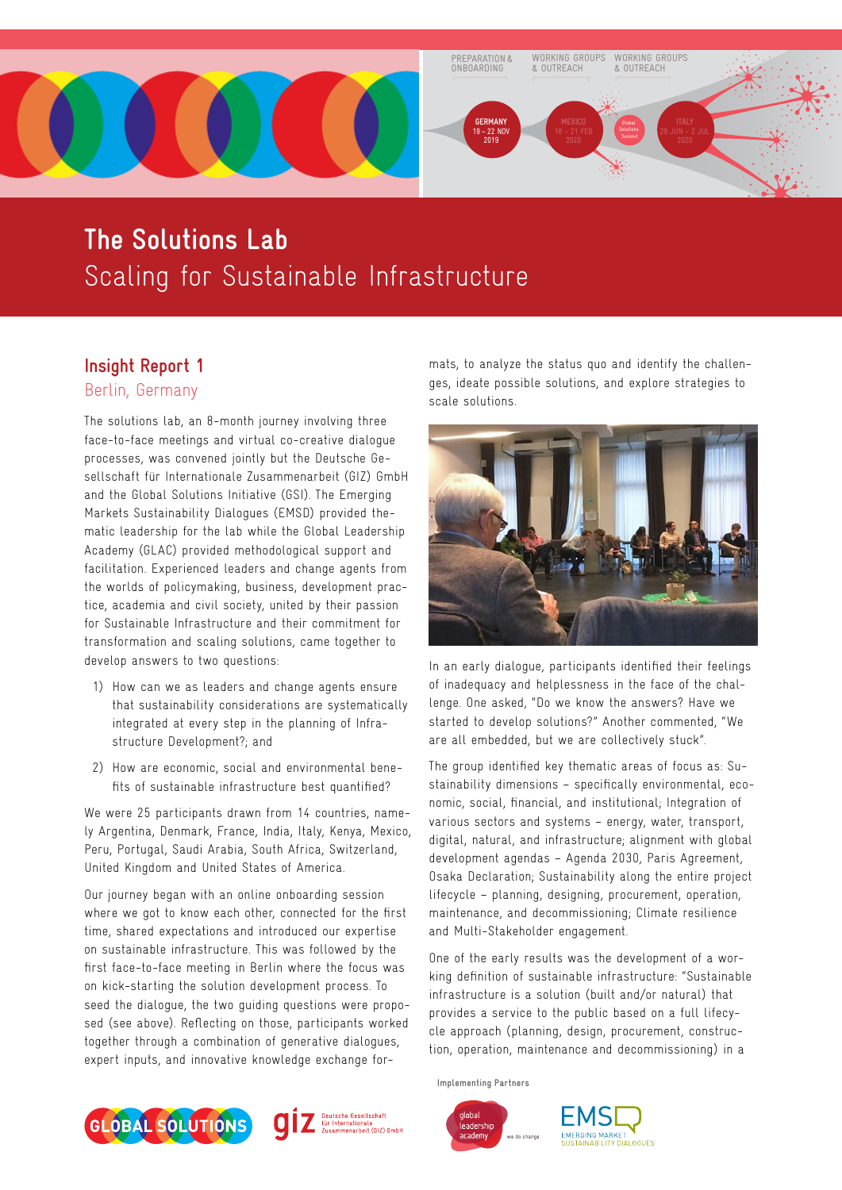

# **The Solutions Lab** Scaling for Sustainable Infrastructure

# **Insight Report 1**

Berlin, Germany

The solutions lab, an 8-month journey involving three face-to-face meetings and virtual co-creative dialogue processes, was convened jointly but the Deutsche Gesellschaft für Internationale Zusammenarbeit (GIZ) GmbH and the Global Solutions Initiative (GSI). The Emerging Markets Sustainability Dialogues (EMSD) provided thematic leadership for the lab while the Global Leadership Academy (GLAC) provided methodological support and facilitation. Experienced leaders and change agents from the worlds of policymaking, business, development practice, academia and civil society, united by their passion for Sustainable Infrastructure and their commitment for transformation and scaling solutions, came together to develop answers to two questions:

- 1) How can we as leaders and change agents ensure that sustainability considerations are systematically integrated at every step in the planning of Infrastructure Development?; and
- 2) How are economic, social and environmental benefits of sustainable infrastructure best quantified?

We were 25 participants drawn from 14 countries, namely Argentina, Denmark, France, India, Italy, Kenya, Mexico, Peru, Portugal, Saudi Arabia, South Africa, Switzerland, United Kingdom and United States of America.

Our journey began with an online onboarding session where we got to know each other, connected for the first time, shared expectations and introduced our expertise on sustainable infrastructure. This was followed by the first face-to-face meeting in Berlin where the focus was on kick-starting the solution development process. To seed the dialogue, the two guiding questions were proposed (see above). Reflecting on those, participants worked together through a combination of generative dialogues, expert inputs, and innovative knowledge exchange formats, to analyze the status quo and identify the challenges, ideate possible solutions, and explore strategies to scale solutions.



In an early dialogue, participants identified their feelings of inadequacy and helplessness in the face of the challenge. One asked, "Do we know the answers? Have we started to develop solutions?" Another commented, "We are all embedded, but we are collectively stuck".

The group identified key thematic areas of focus as: Sustainability dimensions – specifically environmental, economic, social, financial, and institutional; Integration of various sectors and systems – energy, water, transport, digital, natural, and infrastructure; alignment with global development agendas – Agenda 2030, Paris Agreement, Osaka Declaration; Sustainability along the entire project lifecycle – planning, designing, procurement, operation, maintenance, and decommissioning; Climate resilience and Multi-Stakeholder engagement.

One of the early results was the development of a working definition of sustainable infrastructure: "Sustainable infrastructure is a solution (built and/or natural) that provides a service to the public based on a full lifecycle approach (planning, design, procurement, construction, operation, maintenance and decommissioning) in a

**Implementing Partners**